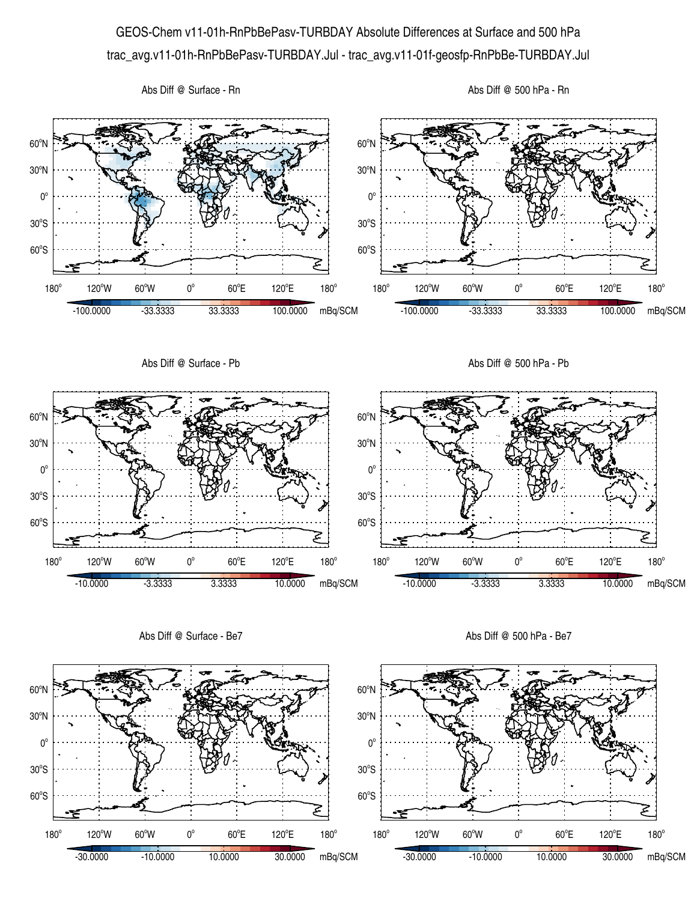## GEOS-Chem v11-01h-RnPbBePasv-TURBDAY Absolute Differences at Surface and 500 hPa trac\_avg.v11-01h-RnPbBePasv-TURBDAY.Jul - trac\_avg.v11-01f-geosfp-RnPbBe-TURBDAY.Jul



Abs Diff @ Surface - Be7

Abs Diff @ 500 hPa - Be7